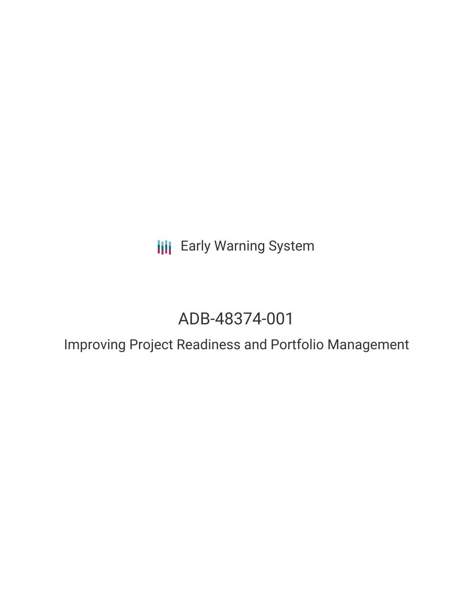**III** Early Warning System

# ADB-48374-001

Improving Project Readiness and Portfolio Management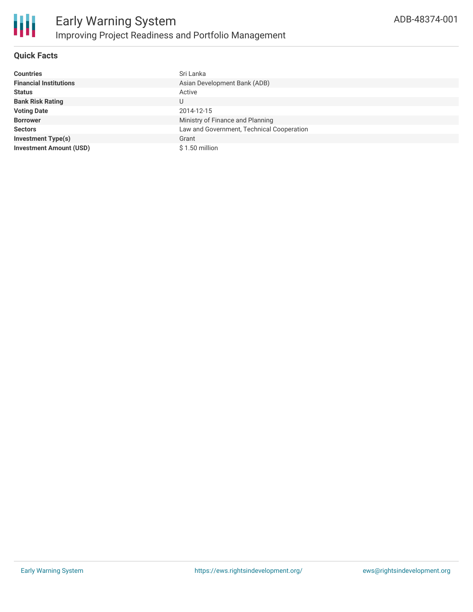

### **Quick Facts**

| <b>Countries</b>               | Sri Lanka                                 |
|--------------------------------|-------------------------------------------|
| <b>Financial Institutions</b>  | Asian Development Bank (ADB)              |
| <b>Status</b>                  | Active                                    |
| <b>Bank Risk Rating</b>        | U                                         |
| <b>Voting Date</b>             | 2014-12-15                                |
| <b>Borrower</b>                | Ministry of Finance and Planning          |
| <b>Sectors</b>                 | Law and Government, Technical Cooperation |
| <b>Investment Type(s)</b>      | Grant                                     |
| <b>Investment Amount (USD)</b> | $$1.50$ million                           |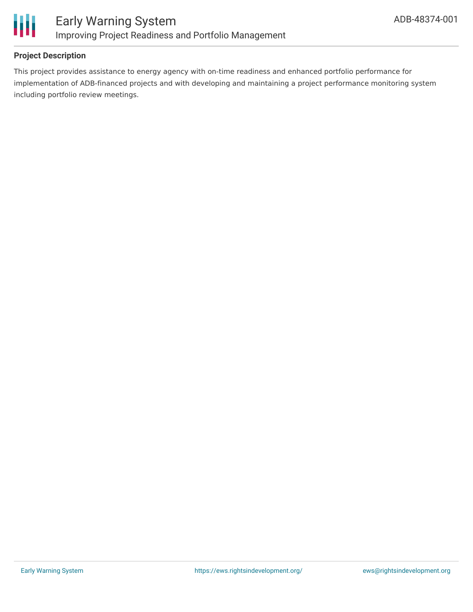

#### **Project Description**

This project provides assistance to energy agency with on-time readiness and enhanced portfolio performance for implementation of ADB-financed projects and with developing and maintaining a project performance monitoring system including portfolio review meetings.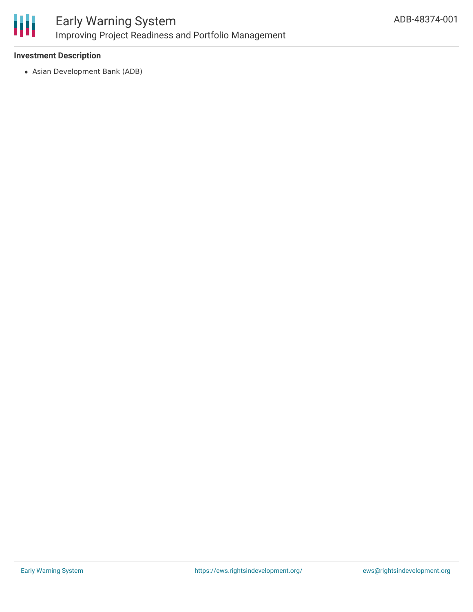

#### **Investment Description**

Asian Development Bank (ADB)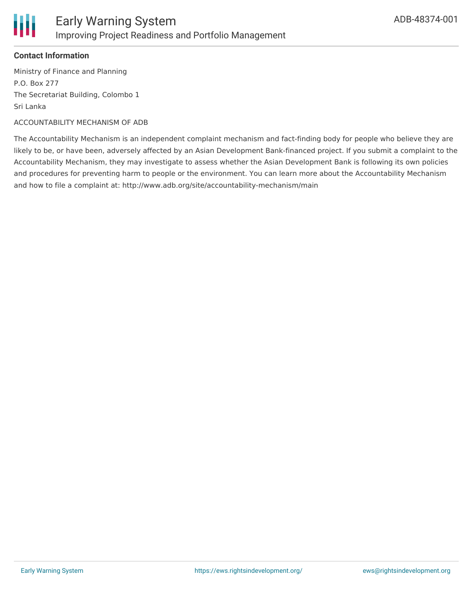

#### **Contact Information**

Ministry of Finance and Planning P.O. Box 277 The Secretariat Building, Colombo 1 Sri Lanka

#### ACCOUNTABILITY MECHANISM OF ADB

The Accountability Mechanism is an independent complaint mechanism and fact-finding body for people who believe they are likely to be, or have been, adversely affected by an Asian Development Bank-financed project. If you submit a complaint to the Accountability Mechanism, they may investigate to assess whether the Asian Development Bank is following its own policies and procedures for preventing harm to people or the environment. You can learn more about the Accountability Mechanism and how to file a complaint at: http://www.adb.org/site/accountability-mechanism/main